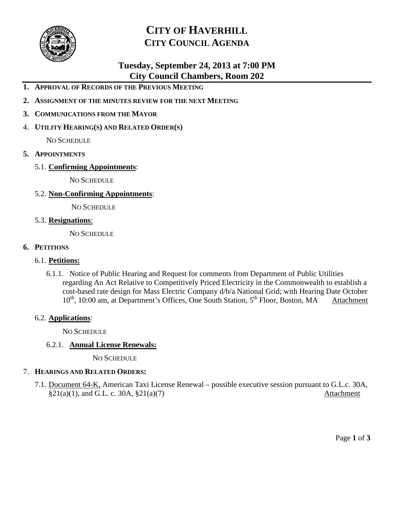

# **CITY OF HAVERHILL CITY COUNCIL AGENDA**

# **Tuesday, September 24, 2013 at 7:00 PM City Council Chambers, Room 202**

- **1. APPROVAL OF RECORDS OF THE PREVIOUS MEETING**
- **2. ASSIGNMENT OF THE MINUTES REVIEW FOR THE NEXT MEETING**
- **3. COMMUNICATIONS FROM THE MAYOR**
- 4. **UTILITY HEARING(S) AND RELATED ORDER(S)**

NO SCHEDULE

- **5. APPOINTMENTS**
	- 5.1. **Confirming Appointments**:

NO SCHEDULE

5.2. **Non-Confirming Appointments**:

NO SCHEDULE

5.3. **Resignations**:

NO SCHEDULE

### **6. PETITIONS**

### 6.1. **Petitions:**

6.1.1. Notice of Public Hearing and Request for comments from Department of Public Utilities regarding An Act Relative to Competitively Priced Electricity in the Commonwealth to establish a cost-based rate design for Mass Electric Company d/b/a National Grid; with Hearing Date October  $10^{th}$ , 10:00 am, at Department's Offices, One South Station,  $5^{th}$  Floor, Boston, MA Attachment

### 6.2. **Applications**:

NO SCHEDULE

### 6.2.1. **Annual License Renewals:**

NO SCHEDULE

### 7. **HEARINGS AND RELATED ORDERS:**

7.1. Document 64-K, American Taxi License Renewal – possible executive session pursuant to G.L.c. 30A,  $§21(a)(1)$ , and G.L. c. 30A,  $§21(a)(7)$  Attachment

Page **1** of **3**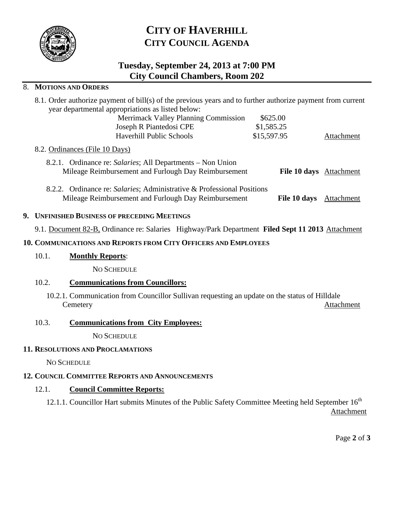

# **CITY OF HAVERHILL CITY COUNCIL AGENDA**

# **Tuesday, September 24, 2013 at 7:00 PM City Council Chambers, Room 202**

### 8. **MOTIONS AND ORDERS**

| 8.1. Order authorize payment of bill(s) of the previous years and to further authorize payment from current |                                                                                                                                |             |                                |            |
|-------------------------------------------------------------------------------------------------------------|--------------------------------------------------------------------------------------------------------------------------------|-------------|--------------------------------|------------|
| year departmental appropriations as listed below:                                                           |                                                                                                                                |             |                                |            |
|                                                                                                             | <b>Merrimack Valley Planning Commission</b>                                                                                    | \$625.00    |                                |            |
|                                                                                                             | \$1,585.25<br>Joseph R Piantedosi CPE                                                                                          |             |                                |            |
|                                                                                                             | <b>Haverhill Public Schools</b>                                                                                                | \$15,597.95 |                                | Attachment |
| 8.2. Ordinances (File 10 Days)                                                                              |                                                                                                                                |             |                                |            |
|                                                                                                             | 8.2.1. Ordinance re: Salaries; All Departments – Non Union<br>Mileage Reimbursement and Furlough Day Reimbursement             |             | <b>File 10 days</b> Attachment |            |
|                                                                                                             | 8.2.2. Ordinance re: Salaries; Administrative & Professional Positions<br>Mileage Reimbursement and Furlough Day Reimbursement |             | File 10 days                   | Attachment |

## **9. UNFINISHED BUSINESS OF PRECEDING MEETINGS**

9.1. Document 82-B, Ordinance re: Salaries Highway/Park Department **Filed Sept 11 2013** Attachment

## **10. COMMUNICATIONS AND REPORTS FROM CITY OFFICERS AND EMPLOYEES**

## 10.1. **Monthly Reports**:

NO SCHEDULE

## 10.2. **Communications from Councillors:**

10.2.1. Communication from Councillor Sullivan requesting an update on the status of Hilldale Cemetery Attachment

## 10.3. **Communications from City Employees:**

NO SCHEDULE

## **11. RESOLUTIONS AND PROCLAMATIONS**

NO SCHEDULE

## **12. COUNCIL COMMITTEE REPORTS AND ANNOUNCEMENTS**

## 12.1. **Council Committee Reports:**

12.1.1. Councillor Hart submits Minutes of the Public Safety Committee Meeting held September  $16<sup>th</sup>$ Attachment

Page **2** of **3**